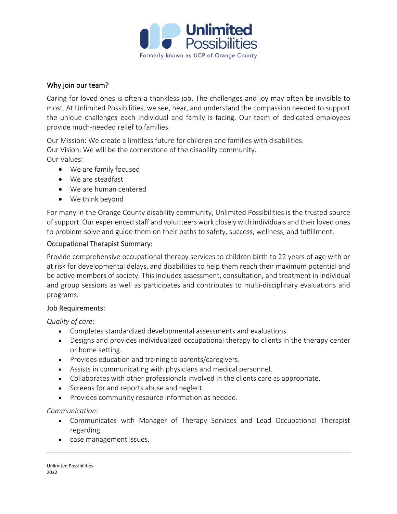

### Why join our team?

Caring for loved ones is often a thankless job. The challenges and joy may often be invisible to most. At Unlimited Possibilities, we see, hear, and understand the compassion needed to support the unique challenges each individual and family is facing. Our team of dedicated employees provide much-needed relief to families.

Our Mission: We create a limitless future for children and families with disabilities. Our Vision: We will be the cornerstone of the disability community. Our Values:

- We are family focused
- We are steadfast
- We are human centered
- We think beyond

For many in the Orange County disability community, Unlimited Possibilities is the trusted source of support. Our experienced staff and volunteers work closely with individuals and their loved ones to problem-solve and guide them on their paths to safety, success, wellness, and fulfillment.

#### Occupational Therapist Summary:

Provide comprehensive occupational therapy services to children birth to 22 years of age with or at risk for developmental delays, and disabilities to help them reach their maximum potential and be active members of society. This includes assessment, consultation, and treatment in individual and group sessions as well as participates and contributes to multi-disciplinary evaluations and programs.

#### Job Requirements:

*Quality of care:*

- Completes standardized developmental assessments and evaluations.
- Designs and provides individualized occupational therapy to clients in the therapy center or home setting.
- Provides education and training to parents/caregivers.
- Assists in communicating with physicians and medical personnel.
- Collaborates with other professionals involved in the clients care as appropriate.
- Screens for and reports abuse and neglect.
- Provides community resource information as needed.

*Communication:*

- Communicates with Manager of Therapy Services and Lead Occupational Therapist regarding
- case management issues.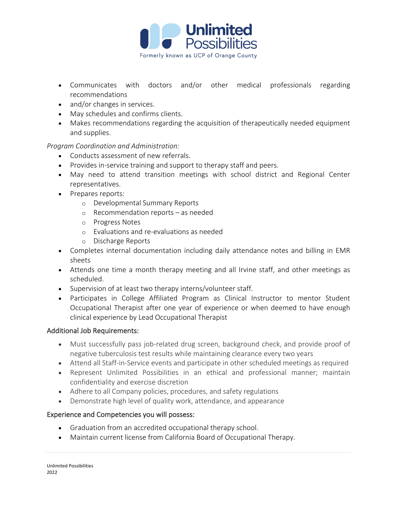

- Communicates with doctors and/or other medical professionals regarding recommendations
- and/or changes in services.
- May schedules and confirms clients.
- Makes recommendations regarding the acquisition of therapeutically needed equipment and supplies.

### *Program Coordination and Administration:*

- Conducts assessment of new referrals.
- Provides in-service training and support to therapy staff and peers.
- May need to attend transition meetings with school district and Regional Center representatives.
- Prepares reports:
	- o Developmental Summary Reports
	- o Recommendation reports as needed
	- o Progress Notes
	- o Evaluations and re-evaluations as needed
	- o Discharge Reports
- Completes internal documentation including daily attendance notes and billing in EMR sheets
- Attends one time a month therapy meeting and all Irvine staff, and other meetings as scheduled.
- Supervision of at least two therapy interns/volunteer staff.
- Participates in College Affiliated Program as Clinical Instructor to mentor Student Occupational Therapist after one year of experience or when deemed to have enough clinical experience by Lead Occupational Therapist

#### Additional Job Requirements:

- Must successfully pass job-related drug screen, background check, and provide proof of negative tuberculosis test results while maintaining clearance every two years
- Attend all Staff-in-Service events and participate in other scheduled meetings as required
- Represent Unlimited Possibilities in an ethical and professional manner; maintain confidentiality and exercise discretion
- Adhere to all Company policies, procedures, and safety regulations
- Demonstrate high level of quality work, attendance, and appearance

## Experience and Competencies you will possess:

- Graduation from an accredited occupational therapy school.
- Maintain current license from California Board of Occupational Therapy.